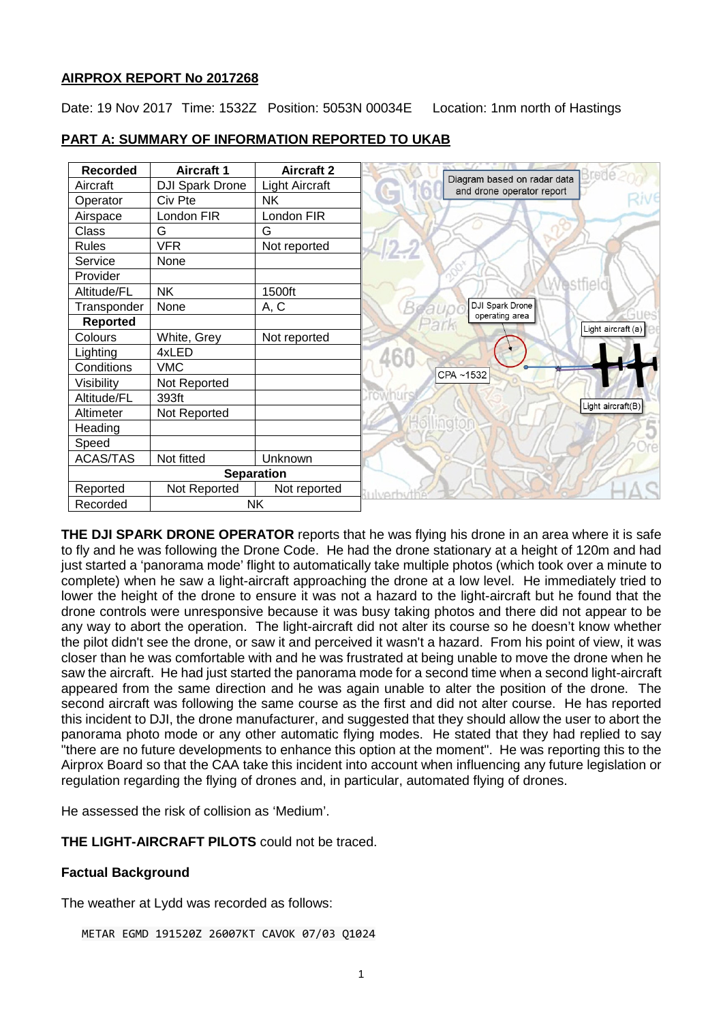## **AIRPROX REPORT No 2017268**

Date: 19 Nov 2017 Time: 1532Z Position: 5053N 00034E Location: 1nm north of Hastings

| <b>Recorded</b>   | <b>Aircraft 1</b>      | <b>Aircraft 2</b>     | Brene                                                    |
|-------------------|------------------------|-----------------------|----------------------------------------------------------|
| Aircraft          | <b>DJI Spark Drone</b> | <b>Light Aircraft</b> | Diagram based on radar data<br>and drone operator report |
| Operator          | Civ Pte                | NΚ.                   |                                                          |
| Airspace          | London FIR             | London FIR            |                                                          |
| Class             | G                      | G                     |                                                          |
| <b>Rules</b>      | <b>VFR</b>             | Not reported          |                                                          |
| Service           | None                   |                       |                                                          |
| Provider          |                        |                       |                                                          |
| Altitude/FL       | <b>NK</b>              | 1500ft                |                                                          |
| Transponder       | None                   | A, C                  | DJI Spark Drone                                          |
| <b>Reported</b>   |                        |                       | operating area<br>Light aircraft (a)                     |
| Colours           | White, Grey            | Not reported          |                                                          |
| Lighting          | 4xLED                  |                       |                                                          |
| Conditions        | <b>VMC</b>             |                       | CPA~1532                                                 |
| Visibility        | Not Reported           |                       |                                                          |
| Altitude/FL       | 393ft                  |                       | Light aircraft(B)                                        |
| Altimeter         | Not Reported           |                       |                                                          |
| Heading           |                        |                       |                                                          |
| Speed             |                        |                       |                                                          |
| <b>ACAS/TAS</b>   | Not fitted             | Unknown               |                                                          |
| <b>Separation</b> |                        |                       |                                                          |
| Reported          | Not Reported           | Not reported          | <b>INAT</b>                                              |
| Recorded          | NΚ                     |                       |                                                          |

## **PART A: SUMMARY OF INFORMATION REPORTED TO UKAB**

**THE DJI SPARK DRONE OPERATOR** reports that he was flying his drone in an area where it is safe to fly and he was following the Drone Code. He had the drone stationary at a height of 120m and had just started a 'panorama mode' flight to automatically take multiple photos (which took over a minute to complete) when he saw a light-aircraft approaching the drone at a low level. He immediately tried to lower the height of the drone to ensure it was not a hazard to the light-aircraft but he found that the drone controls were unresponsive because it was busy taking photos and there did not appear to be any way to abort the operation. The light-aircraft did not alter its course so he doesn't know whether the pilot didn't see the drone, or saw it and perceived it wasn't a hazard. From his point of view, it was closer than he was comfortable with and he was frustrated at being unable to move the drone when he saw the aircraft. He had just started the panorama mode for a second time when a second light-aircraft appeared from the same direction and he was again unable to alter the position of the drone. The second aircraft was following the same course as the first and did not alter course. He has reported this incident to DJI, the drone manufacturer, and suggested that they should allow the user to abort the panorama photo mode or any other automatic flying modes. He stated that they had replied to say "there are no future developments to enhance this option at the moment". He was reporting this to the Airprox Board so that the CAA take this incident into account when influencing any future legislation or regulation regarding the flying of drones and, in particular, automated flying of drones.

He assessed the risk of collision as 'Medium'.

**THE LIGHT-AIRCRAFT PILOTS** could not be traced.

# **Factual Background**

The weather at Lydd was recorded as follows:

METAR EGMD 191520Z 26007KT CAVOK 07/03 Q1024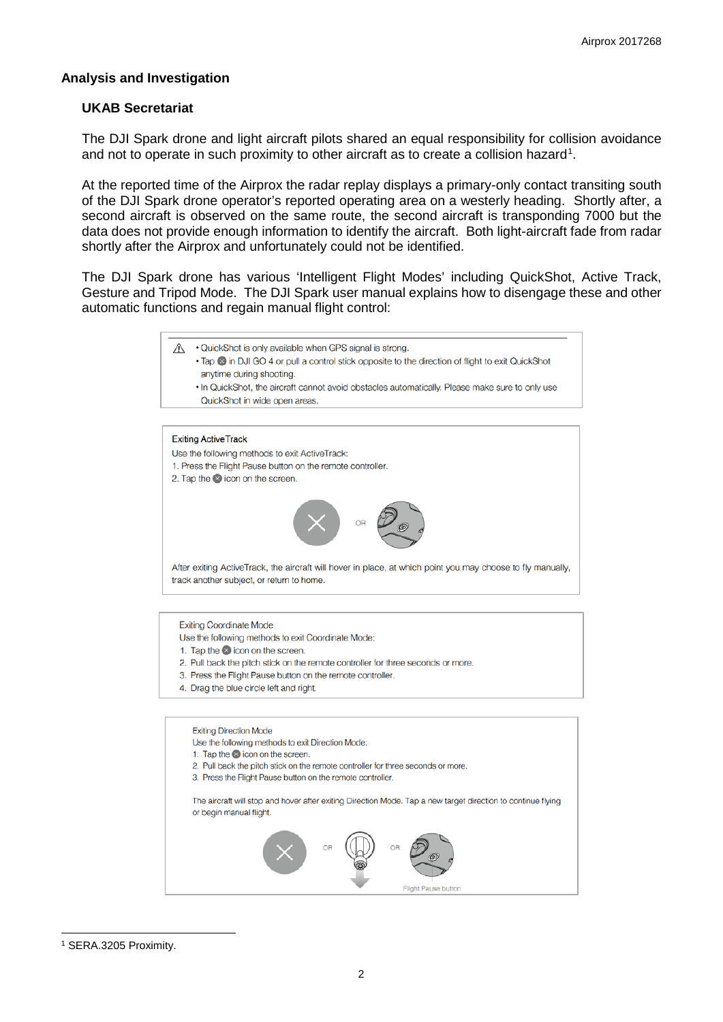### **Analysis and Investigation**

### **UKAB Secretariat**

The DJI Spark drone and light aircraft pilots shared an equal responsibility for collision avoidance and not to operate in such proximity to other aircraft as to create a collision hazard<sup>[1](#page-1-0)</sup>.

At the reported time of the Airprox the radar replay displays a primary-only contact transiting south of the DJI Spark drone operator's reported operating area on a westerly heading. Shortly after, a second aircraft is observed on the same route, the second aircraft is transponding 7000 but the data does not provide enough information to identify the aircraft. Both light-aircraft fade from radar shortly after the Airprox and unfortunately could not be identified.

The DJI Spark drone has various 'Intelligent Flight Modes' including QuickShot, Active Track, Gesture and Tripod Mode. The DJI Spark user manual explains how to disengage these and other automatic functions and regain manual flight control:

- A QuickShot is only available when GPS signal is strong.
	- . Tap @ in DJI GO 4 or pull a control stick opposite to the direction of flight to exit QuickShot anytime during shooting.
	- . In QuickShot, the aircraft cannot avoid obstacles automatically. Please make sure to only use QuickShot in wide open areas.

#### **Exiting ActiveTrack**

- Use the following methods to exit ActiveTrack:
- 1. Press the Flight Pause button on the remote controller.
- 2. Tap the coicon on the screen.



After exiting ActiveTrack, the aircraft will hover in place, at which point you may choose to fly manually, track another subject, or return to home.

**Exiting Coordinate Mode** 

- Use the following methods to exit Coordinate Mode:
- 1. Tap the **2** icon on the screen.
- 2. Pull back the pitch stick on the remote controller for three seconds or more.
- 3. Press the Flight Pause button on the remote controller.
- 4. Drag the blue circle left and right.

**Exiting Direction Mode** 

- Use the following methods to exit Direction Mode:
- 1. Tap the  $\otimes$  icon on the screen.
- 2. Pull back the pitch stick on the remote controller for three seconds or more.
- 3. Press the Flight Pause button on the remote controller.

The aircraft will stop and hover after exiting Direction Mode. Tap a new target direction to continue flying or begin manual flight.



<span id="page-1-0"></span><sup>1</sup> SERA.3205 Proximity.

 $\overline{\phantom{a}}$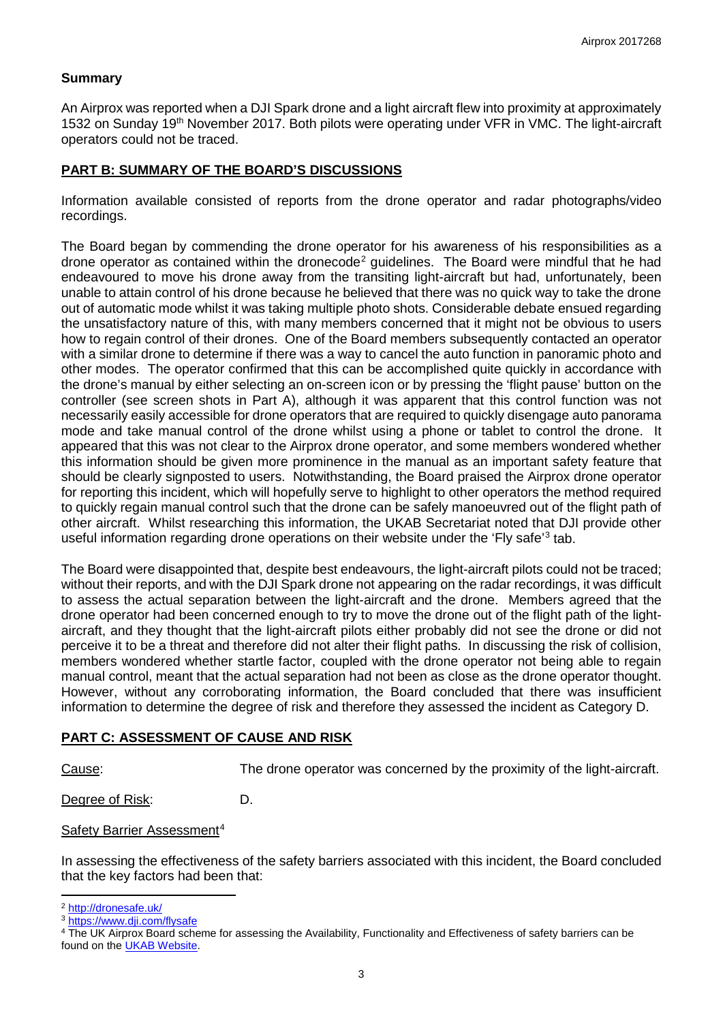## **Summary**

An Airprox was reported when a DJI Spark drone and a light aircraft flew into proximity at approximately 1532 on Sunday 19<sup>th</sup> November 2017. Both pilots were operating under VFR in VMC. The light-aircraft operators could not be traced.

## **PART B: SUMMARY OF THE BOARD'S DISCUSSIONS**

Information available consisted of reports from the drone operator and radar photographs/video recordings.

The Board began by commending the drone operator for his awareness of his responsibilities as a drone operator as contained within the dronecode<sup>[2](#page-2-0)</sup> guidelines. The Board were mindful that he had endeavoured to move his drone away from the transiting light-aircraft but had, unfortunately, been unable to attain control of his drone because he believed that there was no quick way to take the drone out of automatic mode whilst it was taking multiple photo shots. Considerable debate ensued regarding the unsatisfactory nature of this, with many members concerned that it might not be obvious to users how to regain control of their drones. One of the Board members subsequently contacted an operator with a similar drone to determine if there was a way to cancel the auto function in panoramic photo and other modes. The operator confirmed that this can be accomplished quite quickly in accordance with the drone's manual by either selecting an on-screen icon or by pressing the 'flight pause' button on the controller (see screen shots in Part A), although it was apparent that this control function was not necessarily easily accessible for drone operators that are required to quickly disengage auto panorama mode and take manual control of the drone whilst using a phone or tablet to control the drone. It appeared that this was not clear to the Airprox drone operator, and some members wondered whether this information should be given more prominence in the manual as an important safety feature that should be clearly signposted to users. Notwithstanding, the Board praised the Airprox drone operator for reporting this incident, which will hopefully serve to highlight to other operators the method required to quickly regain manual control such that the drone can be safely manoeuvred out of the flight path of other aircraft. Whilst researching this information, the UKAB Secretariat noted that DJI provide other useful information regarding drone operations on their website under the 'Fly safe'[3](#page-2-1) tab.

The Board were disappointed that, despite best endeavours, the light-aircraft pilots could not be traced; without their reports, and with the DJI Spark drone not appearing on the radar recordings, it was difficult to assess the actual separation between the light-aircraft and the drone. Members agreed that the drone operator had been concerned enough to try to move the drone out of the flight path of the lightaircraft, and they thought that the light-aircraft pilots either probably did not see the drone or did not perceive it to be a threat and therefore did not alter their flight paths. In discussing the risk of collision, members wondered whether startle factor, coupled with the drone operator not being able to regain manual control, meant that the actual separation had not been as close as the drone operator thought. However, without any corroborating information, the Board concluded that there was insufficient information to determine the degree of risk and therefore they assessed the incident as Category D.

## **PART C: ASSESSMENT OF CAUSE AND RISK**

 $\overline{a}$ 

Cause: The drone operator was concerned by the proximity of the light-aircraft.

Degree of Risk: D.

Safety Barrier Assessment[4](#page-2-2)

In assessing the effectiveness of the safety barriers associated with this incident, the Board concluded that the key factors had been that:

<sup>&</sup>lt;sup>2</sup> <http://dronesafe.uk/>

<span id="page-2-1"></span><span id="page-2-0"></span><sup>3</sup> <https://www.dji.com/flysafe>

<span id="page-2-2"></span><sup>4</sup> The UK Airprox Board scheme for assessing the Availability, Functionality and Effectiveness of safety barriers can be found on the [UKAB Website.](http://www.airproxboard.org.uk/Learn-more/Airprox-Barrier-Assessment/)